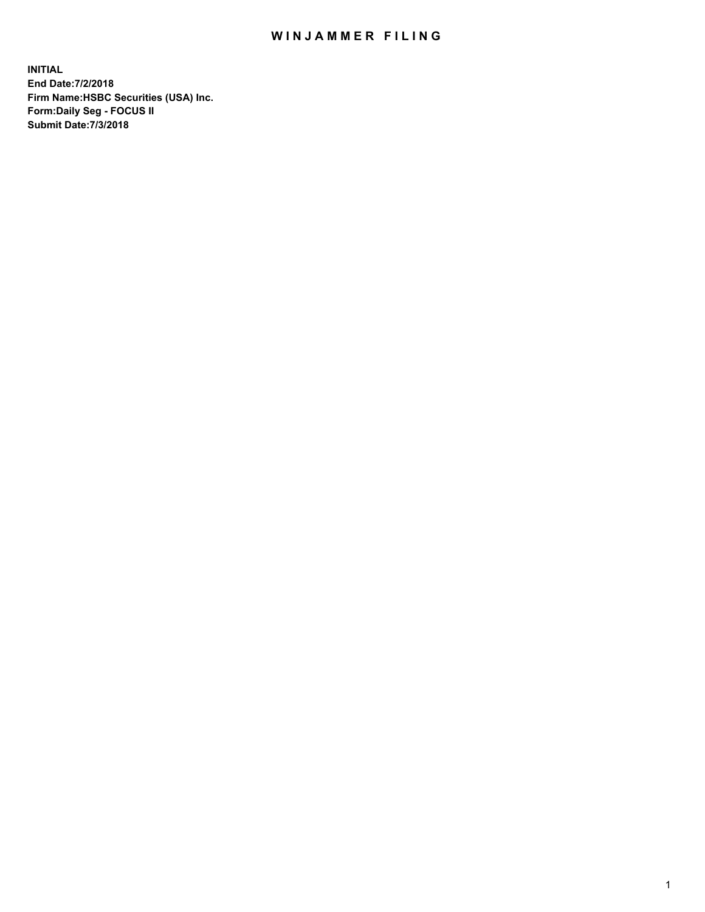## WIN JAMMER FILING

**INITIAL End Date:7/2/2018 Firm Name:HSBC Securities (USA) Inc. Form:Daily Seg - FOCUS II Submit Date:7/3/2018**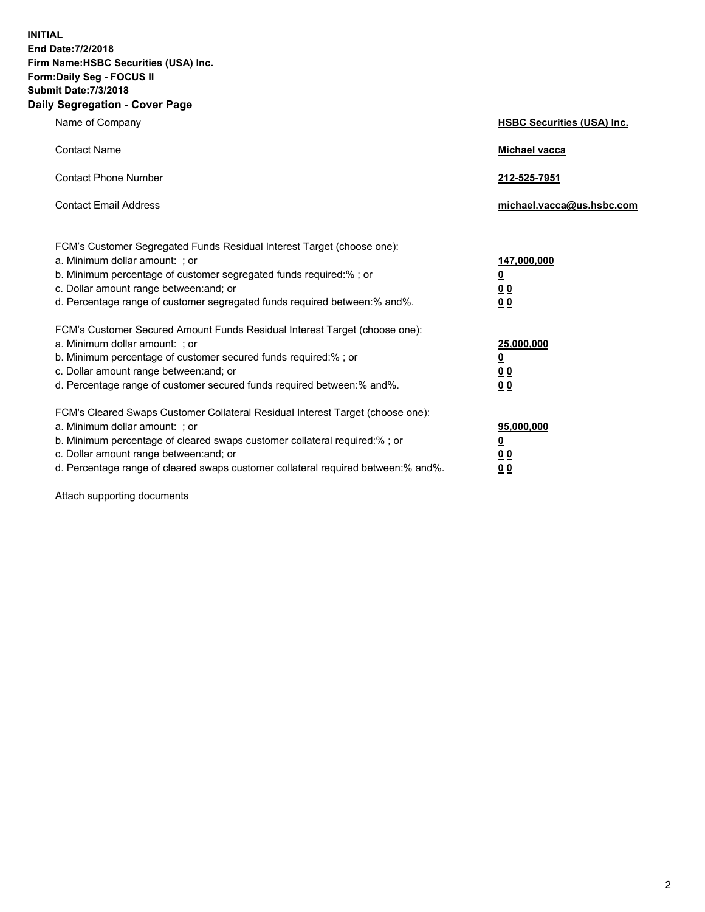**INITIAL End Date:7/2/2018 Firm Name:HSBC Securities (USA) Inc. Form:Daily Seg - FOCUS II Submit Date:7/3/2018 Daily Segregation - Cover Page**

| Name of Company                                                                                                                                                                                                                                                                                                                | <b>HSBC Securities (USA) Inc.</b>                                           |
|--------------------------------------------------------------------------------------------------------------------------------------------------------------------------------------------------------------------------------------------------------------------------------------------------------------------------------|-----------------------------------------------------------------------------|
| <b>Contact Name</b>                                                                                                                                                                                                                                                                                                            | <b>Michael vacca</b>                                                        |
| <b>Contact Phone Number</b>                                                                                                                                                                                                                                                                                                    | 212-525-7951                                                                |
| <b>Contact Email Address</b>                                                                                                                                                                                                                                                                                                   | michael.vacca@us.hsbc.com                                                   |
| FCM's Customer Segregated Funds Residual Interest Target (choose one):<br>a. Minimum dollar amount: ; or<br>b. Minimum percentage of customer segregated funds required:% ; or<br>c. Dollar amount range between: and; or<br>d. Percentage range of customer segregated funds required between: % and %.                       | 147,000,000<br>$\underline{\mathbf{0}}$<br>0 <sub>0</sub><br>0 <sub>0</sub> |
| FCM's Customer Secured Amount Funds Residual Interest Target (choose one):<br>a. Minimum dollar amount: ; or<br>b. Minimum percentage of customer secured funds required:%; or<br>c. Dollar amount range between: and; or<br>d. Percentage range of customer secured funds required between:% and%.                            | 25,000,000<br><u>0</u><br>0 <sub>0</sub><br>0 <sub>0</sub>                  |
| FCM's Cleared Swaps Customer Collateral Residual Interest Target (choose one):<br>a. Minimum dollar amount: ; or<br>b. Minimum percentage of cleared swaps customer collateral required:% ; or<br>c. Dollar amount range between: and; or<br>d. Percentage range of cleared swaps customer collateral required between:% and%. | 95,000,000<br><u>0</u><br>00<br><u>00</u>                                   |

Attach supporting documents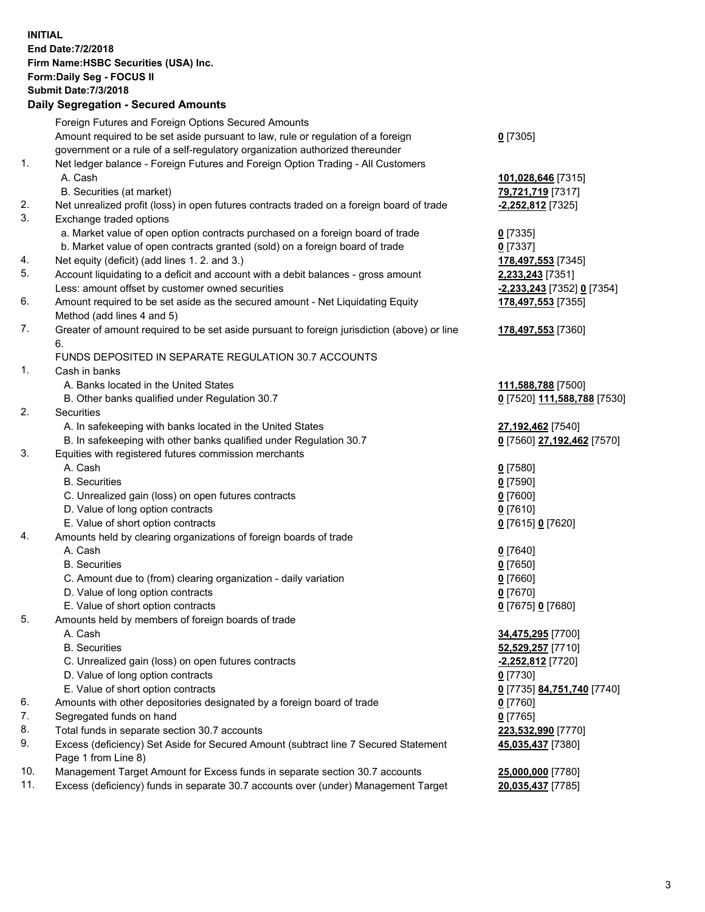**INITIAL End Date:7/2/2018 Firm Name:HSBC Securities (USA) Inc. Form:Daily Seg - FOCUS II Submit Date:7/3/2018 Daily Segregation - Secured Amounts** Foreign Futures and Foreign Options Secured Amounts Amount required to be set aside pursuant to law, rule or regulation of a foreign government or a rule of a self-regulatory organization authorized thereunder **0** [7305] 1. Net ledger balance - Foreign Futures and Foreign Option Trading - All Customers A. Cash **101,028,646** [7315] B. Securities (at market) **79,721,719** [7317] 2. Net unrealized profit (loss) in open futures contracts traded on a foreign board of trade **-2,252,812** [7325] 3. Exchange traded options a. Market value of open option contracts purchased on a foreign board of trade **0** [7335] b. Market value of open contracts granted (sold) on a foreign board of trade **0** [7337] 4. Net equity (deficit) (add lines 1. 2. and 3.) **178,497,553** [7345] 5. Account liquidating to a deficit and account with a debit balances - gross amount **2,233,243** [7351] Less: amount offset by customer owned securities **-2,233,243** [7352] **0** [7354] 6. Amount required to be set aside as the secured amount - Net Liquidating Equity Method (add lines 4 and 5) **178,497,553** [7355] 7. Greater of amount required to be set aside pursuant to foreign jurisdiction (above) or line 6. **178,497,553** [7360] FUNDS DEPOSITED IN SEPARATE REGULATION 30.7 ACCOUNTS 1. Cash in banks A. Banks located in the United States **111,588,788** [7500] B. Other banks qualified under Regulation 30.7 **0** [7520] **111,588,788** [7530] 2. Securities A. In safekeeping with banks located in the United States **27,192,462** [7540] B. In safekeeping with other banks qualified under Regulation 30.7 **0** [7560] **27,192,462** [7570] 3. Equities with registered futures commission merchants A. Cash **0** [7580] B. Securities **0** [7590] C. Unrealized gain (loss) on open futures contracts **0** [7600] D. Value of long option contracts **0** [7610] E. Value of short option contracts **0** [7615] **0** [7620] 4. Amounts held by clearing organizations of foreign boards of trade A. Cash **0** [7640] B. Securities **0** [7650] C. Amount due to (from) clearing organization - daily variation **0** [7660] D. Value of long option contracts **0** [7670] E. Value of short option contracts **0** [7675] **0** [7680] 5. Amounts held by members of foreign boards of trade A. Cash **34,475,295** [7700] B. Securities **52,529,257** [7710] C. Unrealized gain (loss) on open futures contracts **-2,252,812** [7720] D. Value of long option contracts **0** [7730] E. Value of short option contracts **0** [7735] **84,751,740** [7740] 6. Amounts with other depositories designated by a foreign board of trade **0** [7760] 7. Segregated funds on hand **0** [7765] 8. Total funds in separate section 30.7 accounts **223,532,990** [7770] 9. Excess (deficiency) Set Aside for Secured Amount (subtract line 7 Secured Statement Page 1 from Line 8) **45,035,437** [7380] 10. Management Target Amount for Excess funds in separate section 30.7 accounts **25,000,000** [7780] 11. Excess (deficiency) funds in separate 30.7 accounts over (under) Management Target **20,035,437** [7785]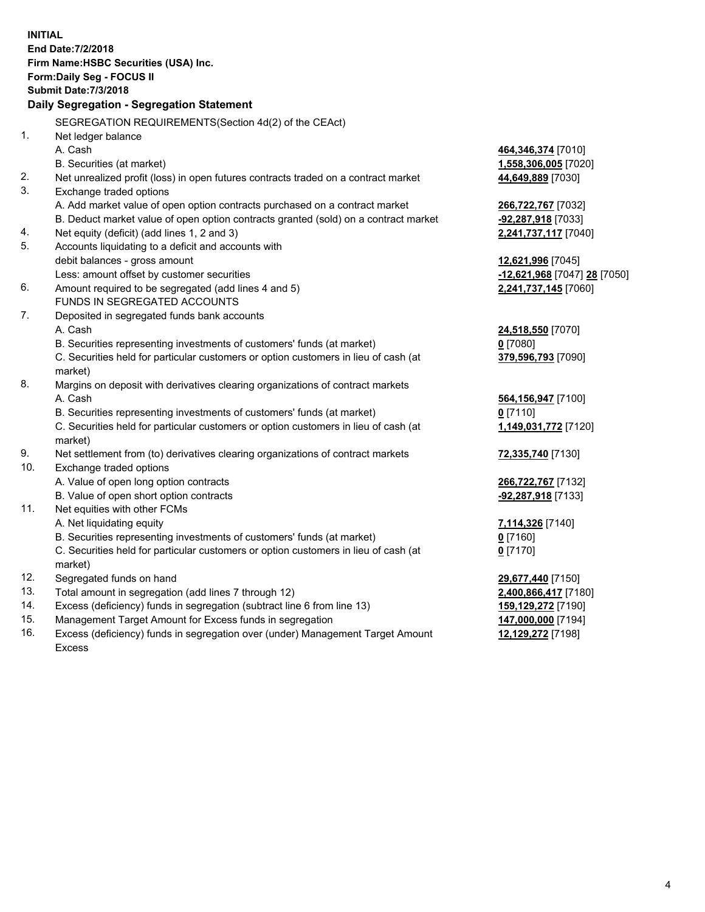|     | <b>INITIAL</b>                                                                      |                                  |
|-----|-------------------------------------------------------------------------------------|----------------------------------|
|     | End Date: 7/2/2018                                                                  |                                  |
|     | Firm Name: HSBC Securities (USA) Inc.                                               |                                  |
|     | <b>Form:Daily Seg - FOCUS II</b>                                                    |                                  |
|     | <b>Submit Date: 7/3/2018</b>                                                        |                                  |
|     | Daily Segregation - Segregation Statement                                           |                                  |
|     | SEGREGATION REQUIREMENTS (Section 4d(2) of the CEAct)                               |                                  |
| 1.  | Net ledger balance                                                                  |                                  |
|     | A. Cash                                                                             | 464,346,374 [7010]               |
|     | B. Securities (at market)                                                           | <u>1,558,306,005</u> [7020]      |
| 2.  | Net unrealized profit (loss) in open futures contracts traded on a contract market  | 44,649,889 [7030]                |
| 3.  | Exchange traded options                                                             |                                  |
|     | A. Add market value of open option contracts purchased on a contract market         | 266,722,767 [7032]               |
|     | B. Deduct market value of open option contracts granted (sold) on a contract market | <u>-<b>92,287,918</b></u> [7033] |
| 4.  | Net equity (deficit) (add lines 1, 2 and 3)                                         | 2,241,737,117 [7040]             |
| 5.  | Accounts liquidating to a deficit and accounts with                                 |                                  |
|     | debit balances - gross amount                                                       | 12,621,996 [7045]                |
|     | Less: amount offset by customer securities                                          | -12,621,968 [7047] 28 [7050]     |
| 6.  | Amount required to be segregated (add lines 4 and 5)                                | 2,241,737,145 [7060]             |
|     | FUNDS IN SEGREGATED ACCOUNTS                                                        |                                  |
| 7.  | Deposited in segregated funds bank accounts                                         |                                  |
|     | A. Cash                                                                             | 24,518,550 [7070]                |
|     | B. Securities representing investments of customers' funds (at market)              | $0$ [7080]                       |
|     | C. Securities held for particular customers or option customers in lieu of cash (at | 379,596,793 [7090]               |
|     | market)                                                                             |                                  |
| 8.  | Margins on deposit with derivatives clearing organizations of contract markets      |                                  |
|     | A. Cash                                                                             | 564,156,947 [7100]               |
|     | B. Securities representing investments of customers' funds (at market)              | $0$ [7110]                       |
|     | C. Securities held for particular customers or option customers in lieu of cash (at | 1,149,031,772 [7120]             |
|     | market)                                                                             |                                  |
| 9.  | Net settlement from (to) derivatives clearing organizations of contract markets     | 72,335,740 [7130]                |
| 10. | Exchange traded options                                                             |                                  |
|     | A. Value of open long option contracts                                              | 266,722,767 [7132]               |
|     | B. Value of open short option contracts                                             | -92,287,918 [7133]               |
| 11. | Net equities with other FCMs                                                        |                                  |
|     | A. Net liquidating equity                                                           | <u>7,114,326</u> [7140]          |
|     | B. Securities representing investments of customers' funds (at market)              | $0$ [7160]                       |
|     | C. Securities held for particular customers or option customers in lieu of cash (at | $0$ [7170]                       |
|     | market)                                                                             |                                  |
| 12. | Segregated funds on hand                                                            | 29,677,440 [7150]                |
| 13. | Total amount in segregation (add lines 7 through 12)                                | 2,400,866,417 [7180]             |
| 14. | Excess (deficiency) funds in segregation (subtract line 6 from line 13)             | <u>159,129,272</u> [7190]        |
| 15. | Management Target Amount for Excess funds in segregation                            | 147,000,000 [7194]               |

16. Excess (deficiency) funds in segregation over (under) Management Target Amount Excess

**12,129,272** [7198]